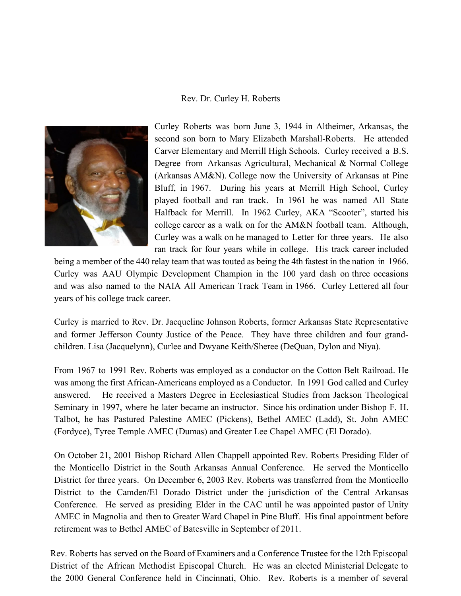## Rev. Dr. Curley H. Roberts



Curley Roberts was born June 3, 1944 in Altheimer, Arkansas, the second son born to Mary Elizabeth Marshall-Roberts. He attended Carver Elementary and Merrill High Schools. Curley received a B.S. Degree from Arkansas Agricultural, Mechanical & Normal College (Arkansas AM&N). College now the University of Arkansas at Pine Bluff, in 1967. During his years at Merrill High School, Curley played football and ran track. In 1961 he was named All State Halfback for Merrill. In 1962 Curley, AKA "Scooter", started his college career as a walk on for the AM&N football team. Although, Curley was a walk on he managed to Letter for three years. He also ran track for four years while in college. His track career included

being a member of the 440 relay team that was touted as being the 4th fastest in the nation in 1966. Curley was AAU Olympic Development Champion in the 100 yard dash on three occasions and was also named to the NAIA All American Track Team in 1966. Curley Lettered all four years of his college track career.

Curley is married to Rev. Dr. Jacqueline Johnson Roberts, former Arkansas State Representative and former Jefferson County Justice of the Peace. They have three children and four grandchildren. Lisa (Jacquelynn), Curlee and Dwyane Keith/Sheree (DeQuan, Dylon and Niya).

From 1967 to 1991 Rev. Roberts was employed as a conductor on the Cotton Belt Railroad. He was among the first African-Americans employed as a Conductor. In 1991 God called and Curley answered. He received a Masters Degree in Ecclesiastical Studies from Jackson Theological Seminary in 1997, where he later became an instructor. Since his ordination under Bishop F. H. Talbot, he has Pastured Palestine AMEC (Pickens), Bethel AMEC (Ladd), St. John AMEC (Fordyce), Tyree Temple AMEC (Dumas) and Greater Lee Chapel AMEC (El Dorado).

On October 21, 2001 Bishop Richard Allen Chappell appointed Rev. Roberts Presiding Elder of the Monticello District in the South Arkansas Annual Conference. He served the Monticello District for three years. On December 6, 2003 Rev. Roberts was transferred from the Monticello District to the Camden/El Dorado District under the jurisdiction of the Central Arkansas Conference. He served as presiding Elder in the CAC until he was appointed pastor of Unity AMEC in Magnolia and then to Greater Ward Chapel in Pine Bluff. His final appointment before retirement was to Bethel AMEC of Batesville in September of 2011.

Rev. Roberts has served on the Board of Examiners and a Conference Trustee for the 12th Episcopal District of the African Methodist Episcopal Church. He was an elected Ministerial Delegate to the 2000 General Conference held in Cincinnati, Ohio. Rev. Roberts is a member of several